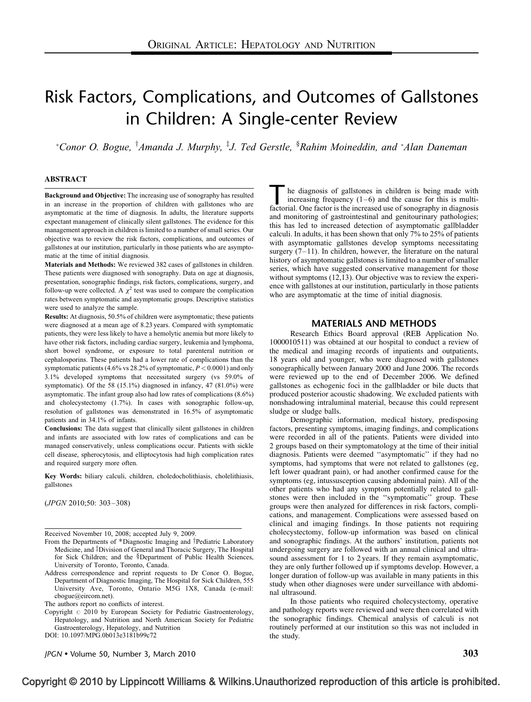# Risk Factors, Complications, and Outcomes of Gallstones in Children: A Single-center Review

\*Conor O. Bogue, <sup>†</sup>Amanda J. Murphy, <sup>‡</sup>J. Ted Gerstle, <sup>§</sup>Rahim Moineddin, and \*Alan Daneman

#### ABSTRACT

Background and Objective: The increasing use of sonography has resulted in an increase in the proportion of children with gallstones who are asymptomatic at the time of diagnosis. In adults, the literature supports expectant management of clinically silent gallstones. The evidence for this management approach in children is limited to a number of small series. Our objective was to review the risk factors, complications, and outcomes of gallstones at our institution, particularly in those patients who are asymptomatic at the time of initial diagnosis.

Materials and Methods: We reviewed 382 cases of gallstones in children. These patients were diagnosed with sonography. Data on age at diagnosis, presentation, sonographic findings, risk factors, complications, surgery, and follow-up were collected. A  $\chi^2$  test was used to compare the complication rates between symptomatic and asymptomatic groups. Descriptive statistics were used to analyze the sample.

Results: At diagnosis, 50.5% of children were asymptomatic; these patients were diagnosed at a mean age of 8.23 years. Compared with symptomatic patients, they were less likely to have a hemolytic anemia but more likely to have other risk factors, including cardiac surgery, leukemia and lymphoma, short bowel syndrome, or exposure to total parenteral nutrition or cephalosporins. These patients had a lower rate of complications than the symptomatic patients (4.6% vs 28.2% of symptomatic,  $P < 0.0001$ ) and only 3.1% developed symptoms that necessitated surgery (vs 59.0% of symptomatic). Of the 58 (15.1%) diagnosed in infancy, 47 (81.0%) were asymptomatic. The infant group also had low rates of complications (8.6%) and cholecystectomy (1.7%). In cases with sonographic follow-up, resolution of gallstones was demonstrated in 16.5% of asymptomatic patients and in 34.1% of infants.

Conclusions: The data suggest that clinically silent gallstones in children and infants are associated with low rates of complications and can be managed conservatively, unless complications occur. Patients with sickle cell disease, spherocytosis, and elliptocytosis had high complication rates and required surgery more often.

Key Words: biliary calculi, children, choledocholithiasis, cholelithiasis, gallstones

(JPGN 2010;50: 303–308)

Received November 10, 2008; accepted July 9, 2009.

- From the Departments of  $*$ Diagnostic Imaging and †Pediatric Laboratory Medicine, and <sup>‡</sup>Division of General and Thoracic Surgery, The Hospital for Sick Children; and the §Department of Public Health Sciences, University of Toronto, Toronto, Canada.
- Address correspondence and reprint requests to Dr Conor O. Bogue, Department of Diagnostic Imaging, The Hospital for Sick Children, 555 University Ave, Toronto, Ontario M5G 1X8, Canada (e-mail: [cbogue@eircom.net\)](mailto:cbogue@eircom.net).

The authors report no conflicts of interest.

Copyright  $@$  2010 by European Society for Pediatric Gastroenterology, Hepatology, and Nutrition and North American Society for Pediatric Gastroenterology, Hepatology, and Nutrition DOI: [10.1097/MPG.0b013e3181b99c72](http://dx.doi.org/10.1097/MPG.0b013e3181b99c72)

JPGN  $\bullet$  Volume 50, Number 3, March 2010  $303$ 

he diagnosis of gallstones in children is being made with increasing frequency  $(1-6)$  and the cause for this is multifactorial. One factor is the increased use of sonography in diagnosis and monitoring of gastrointestinal and genitourinary pathologies; this has led to increased detection of asymptomatic gallbladder calculi. In adults, it has been shown that only 7% to 25% of patients with asymptomatic gallstones develop symptoms necessitating surgery  $(7-11)$ . In children, however, the literature on the natural history of asymptomatic gallstones is limited to a number of smaller series, which have suggested conservative management for those without symptoms [\(12,13\)](#page-5-0). Our objective was to review the experience with gallstones at our institution, particularly in those patients who are asymptomatic at the time of initial diagnosis.

# MATERIALS AND METHODS

Research Ethics Board approval (REB Application No. 1000010511) was obtained at our hospital to conduct a review of the medical and imaging records of inpatients and outpatients, 18 years old and younger, who were diagnosed with gallstones sonographically between January 2000 and June 2006. The records were reviewed up to the end of December 2006. We defined gallstones as echogenic foci in the gallbladder or bile ducts that produced posterior acoustic shadowing. We excluded patients with nonshadowing intraluminal material, because this could represent sludge or sludge balls.

Demographic information, medical history, predisposing factors, presenting symptoms, imaging findings, and complications were recorded in all of the patients. Patients were divided into 2 groups based on their symptomatology at the time of their initial diagnosis. Patients were deemed ''asymptomatic'' if they had no symptoms, had symptoms that were not related to gallstones (eg, left lower quadrant pain), or had another confirmed cause for the symptoms (eg, intussusception causing abdominal pain). All of the other patients who had any symptom potentially related to gallstones were then included in the ''symptomatic'' group. These groups were then analyzed for differences in risk factors, complications, and management. Complications were assessed based on clinical and imaging findings. In those patients not requiring cholecystectomy, follow-up information was based on clinical and sonographic findings. At the authors' institution, patients not undergoing surgery are followed with an annual clinical and ultrasound assessment for 1 to 2 years. If they remain asymptomatic, they are only further followed up if symptoms develop. However, a longer duration of follow-up was available in many patients in this study when other diagnoses were under surveillance with abdominal ultrasound.

In those patients who required cholecystectomy, operative and pathology reports were reviewed and were then correlated with the sonographic findings. Chemical analysis of calculi is not routinely performed at our institution so this was not included in the study.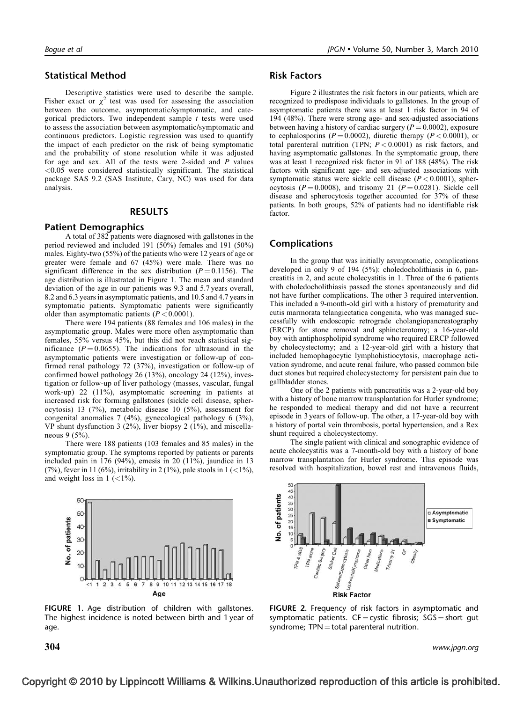## Statistical Method

Descriptive statistics were used to describe the sample. Fisher exact or  $\chi^2$  test was used for assessing the association between the outcome, asymptomatic/symptomatic, and categorical predictors. Two independent sample  $t$  tests were used to assess the association between asymptomatic/symptomatic and continuous predictors. Logistic regression was used to quantify the impact of each predictor on the risk of being symptomatic and the probability of stone resolution while it was adjusted for age and sex. All of the tests were 2-sided and  $P$  values <0.05 were considered statistically significant. The statistical package SAS 9.2 (SAS Institute, Cary, NC) was used for data analysis.

#### RESULTS

#### Patient Demographics

A total of 382 patients were diagnosed with gallstones in the period reviewed and included 191 (50%) females and 191 (50%) males. Eighty-two (55%) of the patients who were 12 years of age or greater were female and 67 (45%) were male. There was no significant difference in the sex distribution ( $P = 0.1156$ ). The age distribution is illustrated in Figure 1. The mean and standard deviation of the age in our patients was 9.3 and 5.7 years overall, 8.2 and 6.3 years in asymptomatic patients, and 10.5 and 4.7 yearsin symptomatic patients. Symptomatic patients were significantly older than asymptomatic patients  $(P < 0.0001)$ .

There were 194 patients (88 females and 106 males) in the asymptomatic group. Males were more often asymptomatic than females, 55% versus 45%, but this did not reach statistical significance ( $P = 0.0655$ ). The indications for ultrasound in the asymptomatic patients were investigation or follow-up of confirmed renal pathology 72 (37%), investigation or follow-up of confirmed bowel pathology 26 (13%), oncology 24 (12%), investigation or follow-up of liver pathology (masses, vascular, fungal work-up) 22 (11%), asymptomatic screening in patients at increased risk for forming gallstones (sickle cell disease, spherocytosis) 13 (7%), metabolic disease 10 (5%), assessment for congenital anomalies 7 (4%), gynecological pathology 6 (3%), VP shunt dysfunction 3 (2%), liver biopsy 2 (1%), and miscellaneous 9 (5%).

There were 188 patients (103 females and 85 males) in the symptomatic group. The symptoms reported by patients or parents included pain in 176 (94%), emesis in 20 (11%), jaundice in 13 (7%), fever in 11 (6%), irritability in 2 (1%), pale stools in  $1$  (<1%), and weight loss in  $1$  (<1%).



FIGURE 1. Age distribution of children with gallstones. The highest incidence is noted between birth and 1 year of age.

#### Risk Factors

Figure 2 illustrates the risk factors in our patients, which are recognized to predispose individuals to gallstones. In the group of asymptomatic patients there was at least 1 risk factor in 94 of 194 (48%). There were strong age- and sex-adjusted associations between having a history of cardiac surgery ( $P = 0.0002$ ), exposure to cephalosporins ( $P = 0.0002$ ), diuretic therapy ( $P < 0.0001$ ), or total parenteral nutrition (TPN;  $P < 0.0001$ ) as risk factors, and having asymptomatic gallstones. In the symptomatic group, there was at least 1 recognized risk factor in 91 of 188 (48%). The risk factors with significant age- and sex-adjusted associations with symptomatic status were sickle cell disease  $(P < 0.0001)$ , spherocytosis ( $P = 0.0008$ ), and trisomy 21 ( $P = 0.0281$ ). Sickle cell disease and spherocytosis together accounted for 37% of these patients. In both groups, 52% of patients had no identifiable risk factor.

# Complications

In the group that was initially asymptomatic, complications developed in only 9 of 194 (5%): choledocholithiasis in 6, pancreatitis in 2, and acute cholecystitis in 1. Three of the 6 patients with choledocholithiasis passed the stones spontaneously and did not have further complications. The other 3 required intervention. This included a 9-month-old girl with a history of prematurity and cutis marmorata telangiectatica congenita, who was managed successfully with endoscopic retrograde cholangiopancreatography (ERCP) for stone removal and sphincterotomy; a 16-year-old boy with antiphospholipid syndrome who required ERCP followed by cholecystectomy; and a 12-year-old girl with a history that included hemophagocytic lymphohistiocytosis, macrophage activation syndrome, and acute renal failure, who passed common bile duct stones but required cholecystectomy for persistent pain due to gallbladder stones.

One of the 2 patients with pancreatitis was a 2-year-old boy with a history of bone marrow transplantation for Hurler syndrome; he responded to medical therapy and did not have a recurrent episode in 3 years of follow-up. The other, a 17-year-old boy with a history of portal vein thrombosis, portal hypertension, and a Rex shunt required a cholecystectomy.

The single patient with clinical and sonographic evidence of acute cholecystitis was a 7-month-old boy with a history of bone marrow transplantation for Hurler syndrome. This episode was resolved with hospitalization, bowel rest and intravenous fluids,



FIGURE 2. Frequency of risk factors in asymptomatic and symptomatic patients.  $CF = \text{cystic fibrosis}$ ;  $SGS = \text{short gut}$ syndrome:  $TPN = total$  parenteral nutrition.

 $\bf 304$  www.jpgn.org  $\bf$ 

# Copyright © 2010 by Lippincott Williams & Wilkins.Unauthorized reproduction of this article is prohibited.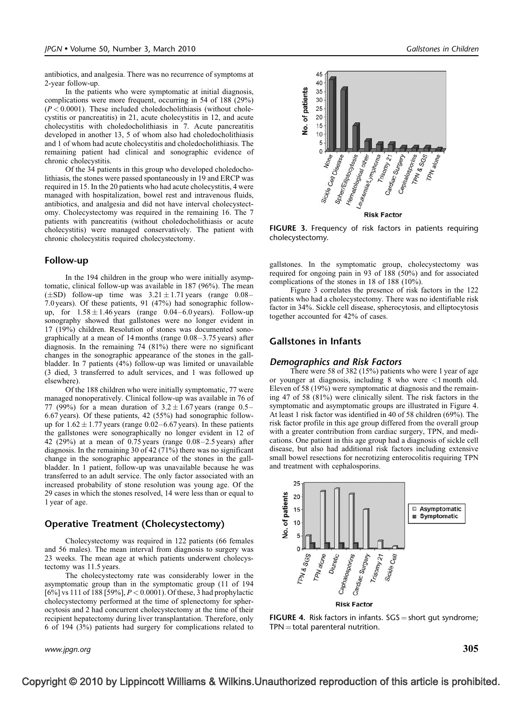antibiotics, and analgesia. There was no recurrence of symptoms at 2-year follow-up.

In the patients who were symptomatic at initial diagnosis, complications were more frequent, occurring in 54 of 188 (29%)  $(P<0.0001)$ . These included choledocholithiasis (without cholecystitis or pancreatitis) in 21, acute cholecystitis in 12, and acute cholecystitis with choledocholithiasis in 7. Acute pancreatitis developed in another 13, 5 of whom also had choledocholithiasis and 1 of whom had acute cholecystitis and choledocholithiasis. The remaining patient had clinical and sonographic evidence of chronic cholecystitis.

Of the 34 patients in this group who developed choledocholithiasis, the stones were passed spontaneously in 19 and ERCP was required in 15. In the 20 patients who had acute cholecystitis, 4 were managed with hospitalization, bowel rest and intravenous fluids, antibiotics, and analgesia and did not have interval cholecystectomy. Cholecystectomy was required in the remaining 16. The 7 patients with pancreatitis (without choledocholithiasis or acute cholecystitis) were managed conservatively. The patient with chronic cholecystitis required cholecystectomy.

#### Follow-up

In the 194 children in the group who were initially asymptomatic, clinical follow-up was available in 187 (96%). The mean  $(\pm SD)$  follow-up time was  $3.21 \pm 1.71$  years (range 0.08– 7.0 years). Of these patients, 91 (47%) had sonographic followup, for  $1.58 \pm 1.46$  years (range 0.04–6.0 years). Follow-up sonography showed that gallstones were no longer evident in 17 (19%) children. Resolution of stones was documented sonographically at a mean of 14 months (range 0.08–3.75 years) after diagnosis. In the remaining 74 (81%) there were no significant changes in the sonographic appearance of the stones in the gallbladder. In 7 patients (4%) follow-up was limited or unavailable (3 died, 3 transferred to adult services, and 1 was followed up elsewhere).

Of the 188 children who were initially symptomatic, 77 were managed nonoperatively. Clinical follow-up was available in 76 of 77 (99%) for a mean duration of  $3.2 \pm 1.67$  years (range 0.5– 6.67 years). Of these patients, 42 (55%) had sonographic followup for  $1.62 \pm 1.77$  years (range 0.02–6.67 years). In these patients the gallstones were sonographically no longer evident in 12 of 42 (29%) at a mean of 0.75 years (range 0.08–2.5 years) after diagnosis. In the remaining 30 of 42 (71%) there was no significant change in the sonographic appearance of the stones in the gallbladder. In 1 patient, follow-up was unavailable because he was transferred to an adult service. The only factor associated with an increased probability of stone resolution was young age. Of the 29 cases in which the stones resolved, 14 were less than or equal to 1 year of age.

# Operative Treatment (Cholecystectomy)

Cholecystectomy was required in 122 patients (66 females and 56 males). The mean interval from diagnosis to surgery was 23 weeks. The mean age at which patients underwent cholecystectomy was 11.5 years.

The cholecystectomy rate was considerably lower in the asymptomatic group than in the symptomatic group (11 of 194  $[6\%]$  vs 111 of 188 [59%],  $P < 0.0001$ ). Of these, 3 had prophylactic cholecystectomy performed at the time of splenectomy for spherocytosis and 2 had concurrent cholecystectomy at the time of their recipient hepatectomy during liver transplantation. Therefore, only 6 of 194 (3%) patients had surgery for complications related to

www.jpgn.org  $305$ 



FIGURE 3. Frequency of risk factors in patients requiring cholecystectomy.

gallstones. In the symptomatic group, cholecystectomy was required for ongoing pain in 93 of 188 (50%) and for associated complications of the stones in 18 of 188 (10%).

Figure 3 correlates the presence of risk factors in the 122 patients who had a cholecystectomy. There was no identifiable risk factor in 34%. Sickle cell disease, spherocytosis, and elliptocytosis together accounted for 42% of cases.

# Gallstones in Infants

#### Demographics and Risk Factors

There were 58 of 382 (15%) patients who were 1 year of age or younger at diagnosis, including 8 who were <1 month old. Eleven of 58 (19%) were symptomatic at diagnosis and the remaining 47 of 58 (81%) were clinically silent. The risk factors in the symptomatic and asymptomatic groups are illustrated in Figure 4. At least 1 risk factor was identified in 40 of 58 children (69%). The risk factor profile in this age group differed from the overall group with a greater contribution from cardiac surgery, TPN, and medications. One patient in this age group had a diagnosis of sickle cell disease, but also had additional risk factors including extensive small bowel resections for necrotizing enterocolitis requiring TPN and treatment with cephalosporins.



**FIGURE 4.** Risk factors in infants.  $SGS = short$  gut syndrome;  $TPN = total$  parenteral nutrition.

# Copyright © 2010 by Lippincott Williams & Wilkins.Unauthorized reproduction of this article is prohibited.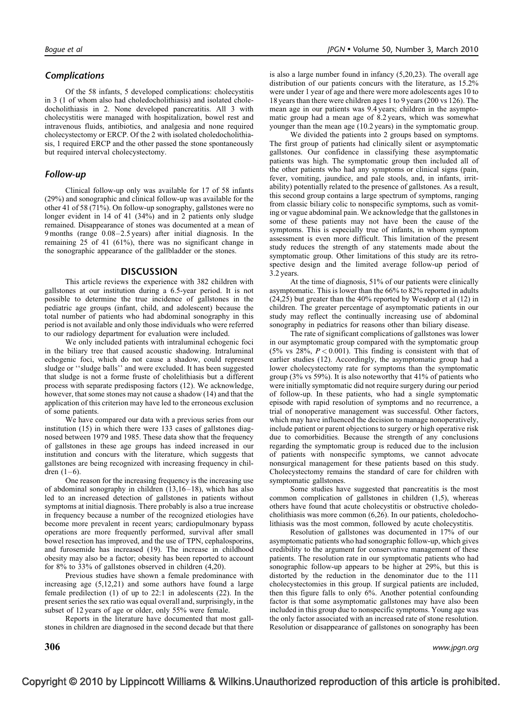# Complications

Of the 58 infants, 5 developed complications: cholecystitis in 3 (1 of whom also had choledocholithiasis) and isolated choledocholithiasis in 2. None developed pancreatitis. All 3 with cholecystitis were managed with hospitalization, bowel rest and intravenous fluids, antibiotics, and analgesia and none required cholecystectomy or ERCP. Of the 2 with isolated choledocholithiasis, 1 required ERCP and the other passed the stone spontaneously but required interval cholecystectomy.

# Follow-up

Clinical follow-up only was available for 17 of 58 infants (29%) and sonographic and clinical follow-up was available for the other 41 of 58 (71%). On follow-up sonography, gallstones were no longer evident in 14 of 41 (34%) and in 2 patients only sludge remained. Disappearance of stones was documented at a mean of 9 months (range 0.08–2.5 years) after initial diagnosis. In the remaining 25 of 41 (61%), there was no significant change in the sonographic appearance of the gallbladder or the stones.

# **DISCUSSION**

This article reviews the experience with 382 children with gallstones at our institution during a 6.5-year period. It is not possible to determine the true incidence of gallstones in the pediatric age groups (infant, child, and adolescent) because the total number of patients who had abdominal sonography in this period is not available and only those individuals who were referred to our radiology department for evaluation were included.

We only included patients with intraluminal echogenic foci in the biliary tree that caused acoustic shadowing. Intraluminal echogenic foci, which do not cause a shadow, could represent sludge or ''sludge balls'' and were excluded. It has been suggested that sludge is not a forme fruste of cholelithiasis but a different process with separate predisposing factors [\(12\)](#page-5-0). We acknowledge, however, that some stones may not cause a shadow [\(14\)](#page-5-0) and that the application of this criterion may have led to the erroneous exclusion of some patients.

We have compared our data with a previous series from our institution [\(15\)](#page-5-0) in which there were 133 cases of gallstones diagnosed between 1979 and 1985. These data show that the frequency of gallstones in these age groups has indeed increased in our institution and concurs with the literature, which suggests that gallstones are being recognized with increasing frequency in children  $(1-6)$ .

One reason for the increasing frequency is the increasing use of abdominal sonography in children [\(13,16–18\),](#page-5-0) which has also led to an increased detection of gallstones in patients without symptoms at initial diagnosis. There probably is also a true increase in frequency because a number of the recognized etiologies have become more prevalent in recent years; cardiopulmonary bypass operations are more frequently performed, survival after small bowel resection has improved, and the use of TPN, cephalosporins, and furosemide has increased [\(19\)](#page-5-0). The increase in childhood obesity may also be a factor; obesity has been reported to account for 8% to 33% of gallstones observed in children [\(4,20\).](#page-4-0)

Previous studies have shown a female predominance with increasing age [\(5,12,21\)](#page-4-0) and some authors have found a large female predilection [\(1\)](#page-4-0) of up to 22:1 in adolescents [\(22\)](#page-5-0). In the present series the sex ratio was equal overall and, surprisingly, in the subset of 12 years of age or older, only 55% were female.

Reports in the literature have documented that most gallstones in children are diagnosed in the second decade but that there is also a large number found in infancy [\(5,20,23\)](#page-4-0). The overall age distribution of our patients concurs with the literature, as 15.2% were under 1 year of age and there were more adolescents ages 10 to 18 years than there were children ages 1 to 9 years (200 vs 126). The mean age in our patients was 9.4 years; children in the asymptomatic group had a mean age of 8.2 years, which was somewhat younger than the mean age (10.2 years) in the symptomatic group.

We divided the patients into 2 groups based on symptoms. The first group of patients had clinically silent or asymptomatic gallstones. Our confidence in classifying these asymptomatic patients was high. The symptomatic group then included all of the other patients who had any symptoms or clinical signs (pain, fever, vomiting, jaundice, and pale stools, and, in infants, irritability) potentially related to the presence of gallstones. As a result, this second group contains a large spectrum of symptoms, ranging from classic biliary colic to nonspecific symptoms, such as vomiting or vague abdominal pain. We acknowledge that the gallstonesin some of these patients may not have been the cause of the symptoms. This is especially true of infants, in whom symptom assessment is even more difficult. This limitation of the present study reduces the strength of any statements made about the symptomatic group. Other limitations of this study are its retrospective design and the limited average follow-up period of 3.2 years.

At the time of diagnosis, 51% of our patients were clinically asymptomatic. This is lower than the 66% to 82% reported in adults [\(24,25\)](#page-5-0) but greater than the 40% reported by Wesdorp et al [\(12\)](#page-5-0) in children. The greater percentage of asymptomatic patients in our study may reflect the continually increasing use of abdominal sonography in pediatrics for reasons other than biliary disease.

The rate of significant complications of gallstones was lower in our asymptomatic group compared with the symptomatic group (5% vs 28%,  $P < 0.001$ ). This finding is consistent with that of earlier studies [\(12\).](#page-5-0) Accordingly, the asymptomatic group had a lower cholecystectomy rate for symptoms than the symptomatic group (3% vs 59%). It is also noteworthy that 41% of patients who were initially symptomatic did not require surgery during our period of follow-up. In these patients, who had a single symptomatic episode with rapid resolution of symptoms and no recurrence, a trial of nonoperative management was successful. Other factors, which may have influenced the decision to manage nonoperatively, include patient or parent objections to surgery or high operative risk due to comorbidities. Because the strength of any conclusions regarding the symptomatic group is reduced due to the inclusion of patients with nonspecific symptoms, we cannot advocate nonsurgical management for these patients based on this study. Cholecystectomy remains the standard of care for children with symptomatic gallstones.

Some studies have suggested that pancreatitis is the most common complication of gallstones in children [\(1,5\),](#page-4-0) whereas others have found that acute cholecystitis or obstructive choledocholithiasis was more common [\(6,26\).](#page-4-0) In our patients, choledocholithiasis was the most common, followed by acute cholecystitis.

Resolution of gallstones was documented in 17% of our asymptomatic patients who had sonographic follow-up, which gives credibility to the argument for conservative management of these patients. The resolution rate in our symptomatic patients who had sonographic follow-up appears to be higher at 29%, but this is distorted by the reduction in the denominator due to the 111 cholecystectomies in this group. If surgical patients are included, then this figure falls to only 6%. Another potential confounding factor is that some asymptomatic gallstones may have also been included in this group due to nonspecific symptoms. Young age was the only factor associated with an increased rate of stone resolution. Resolution or disappearance of gallstones on sonography has been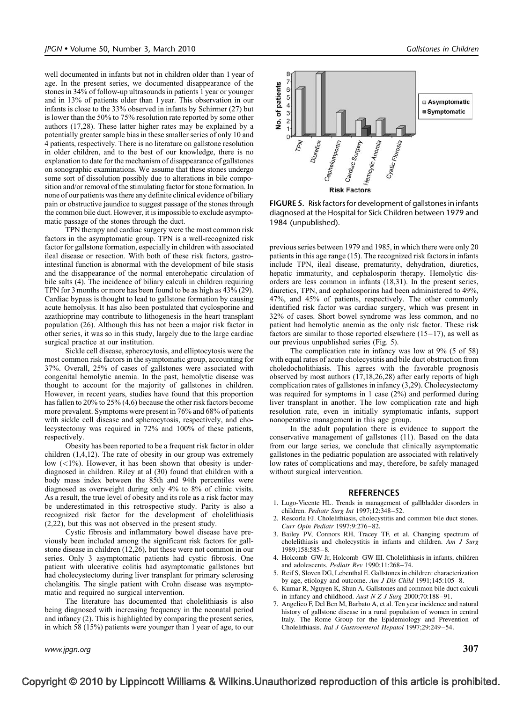<span id="page-4-0"></span>well documented in infants but not in children older than 1 year of age. In the present series, we documented disappearance of the stones in 34% of follow-up ultrasounds in patients 1 year or younger and in 13% of patients older than 1 year. This observation in our infants is close to the 33% observed in infants by Schirmer [\(27\)](#page-5-0) but is lower than the 50% to 75% resolution rate reported by some other authors [\(17,28\).](#page-5-0) These latter higher rates may be explained by a potentially greater sample bias in these smaller series of only 10 and 4 patients, respectively. There is no literature on gallstone resolution in older children, and to the best of our knowledge, there is no explanation to date for the mechanism of disappearance of gallstones on sonographic examinations. We assume that these stones undergo some sort of dissolution possibly due to alterations in bile composition and/or removal of the stimulating factor for stone formation. In none of our patients wasthere any definite clinical evidence of biliary pain or obstructive jaundice to suggest passage of the stones through the common bile duct. However, it is impossible to exclude asymptomatic passage of the stones through the duct.

TPN therapy and cardiac surgery were the most common risk factors in the asymptomatic group. TPN is a well-recognized risk factor for gallstone formation, especially in children with associated ileal disease or resection. With both of these risk factors, gastrointestinal function is abnormal with the development of bile stasis and the disappearance of the normal enterohepatic circulation of bile salts (4). The incidence of biliary calculi in children requiring TPN for 3 months or more has been found to be as high as 43% [\(29\).](#page-5-0) Cardiac bypass is thought to lead to gallstone formation by causing acute hemolysis. It has also been postulated that cyclosporine and azathioprine may contribute to lithogenesis in the heart transplant population [\(26\)](#page-5-0). Although this has not been a major risk factor in other series, it was so in this study, largely due to the large cardiac surgical practice at our institution.

Sickle cell disease, spherocytosis, and elliptocytosis were the most common risk factors in the symptomatic group, accounting for 37%. Overall, 25% of cases of gallstones were associated with congenital hemolytic anemia. In the past, hemolytic disease was thought to account for the majority of gallstones in children. However, in recent years, studies have found that this proportion has fallen to 20% to 25% (4,6) because the other risk factors become more prevalent. Symptoms were present in 76% and 68% of patients with sickle cell disease and spherocytosis, respectively, and cholecystectomy was required in 72% and 100% of these patients, respectively.

Obesity has been reported to be a frequent risk factor in older children (1,4,12). The rate of obesity in our group was extremely low  $(<1%)$ . However, it has been shown that obesity is underdiagnosed in children. Riley at al [\(30\)](#page-5-0) found that children with a body mass index between the 85th and 94th percentiles were diagnosed as overweight during only 4% to 8% of clinic visits. As a result, the true level of obesity and its role as a risk factor may be underestimated in this retrospective study. Parity is also a recognized risk factor for the development of cholelithiasis (2,22), but this was not observed in the present study.

Cystic fibrosis and inflammatory bowel disease have previously been included among the significant risk factors for gallstone disease in children [\(12,26\)](#page-5-0), but these were not common in our series. Only 3 asymptomatic patients had cystic fibrosis. One patient with ulcerative colitis had asymptomatic gallstones but had cholecystectomy during liver transplant for primary sclerosing cholangitis. The single patient with Crohn disease was asymptomatic and required no surgical intervention.

The literature has documented that cholelithiasis is also being diagnosed with increasing frequency in the neonatal period and infancy (2). This is highlighted by comparing the present series, in which 58 (15%) patients were younger than 1 year of age, to our



FIGURE 5. Risk factors for development of gallstones in infants diagnosed at the Hospital for Sick Children between 1979 and 1984 (unpublished).

previous series between 1979 and 1985, in which there were only 20 patients in this age range [\(15\)](#page-5-0). The recognized risk factors in infants include TPN, ileal disease, prematurity, dehydration, diuretics, hepatic immaturity, and cephalosporin therapy. Hemolytic disorders are less common in infants [\(18,31\).](#page-5-0) In the present series, diuretics, TPN, and cephalosporins had been administered to 49%, 47%, and 45% of patients, respectively. The other commonly identified risk factor was cardiac surgery, which was present in 32% of cases. Short bowel syndrome was less common, and no patient had hemolytic anemia as the only risk factor. These risk factors are similar to those reported elsewhere  $(15-17)$ , as well as our previous unpublished series (Fig. 5).

The complication rate in infancy was low at 9% (5 of 58) with equal rates of acute cholecystitis and bile duct obstruction from choledocholithiasis. This agrees with the favorable prognosis observed by most authors [\(17,18,26,28\)](#page-5-0) after early reports of high complication rates of gallstones in infancy (3,29). Cholecystectomy was required for symptoms in 1 case (2%) and performed during liver transplant in another. The low complication rate and high resolution rate, even in initially symptomatic infants, support nonoperative management in this age group.

In the adult population there is evidence to support the conservative management of gallstones [\(11\)](#page-5-0). Based on the data from our large series, we conclude that clinically asymptomatic gallstones in the pediatric population are associated with relatively low rates of complications and may, therefore, be safely managed without surgical intervention.

#### **REFERENCES**

- 1. Lugo-Vicente HL. Trends in management of gallbladder disorders in children. Pediatr Surg Int 1997;12:348-52.
- 2. Rescorla FJ. Cholelithiasis, cholecystitis and common bile duct stones. Curr Opin Pediatr 1997;9:276–82.
- 3. Bailey PV, Connors RH, Tracey TF, et al. Changing spectrum of cholelithiasis and cholecystitis in infants and children. Am J Surg 1989;158:585–8.
- 4. Holcomb GW Jr, Holcomb GW III. Cholelithiasis in infants, children and adolescents. Pediatr Rev 1990;11:268–74.
- 5. Reif S, Sloven DG, Lebenthal E. Gallstonesin children: characterization by age, etiology and outcome. Am J Dis Child 1991;145:105–8.
- 6. Kumar R, Nguyen K, Shun A. Gallstones and common bile duct calculi in infancy and childhood. Aust N Z J Surg 2000;70:188–91.
- 7. Angelico F, Del Ben M, Barbato A, et al. Ten year incidence and natural history of gallstone disease in a rural population of women in central Italy. The Rome Group for the Epidemiology and Prevention of Cholelithiasis. Ital J Gastroenterol Hepatol 1997;29:249–54.